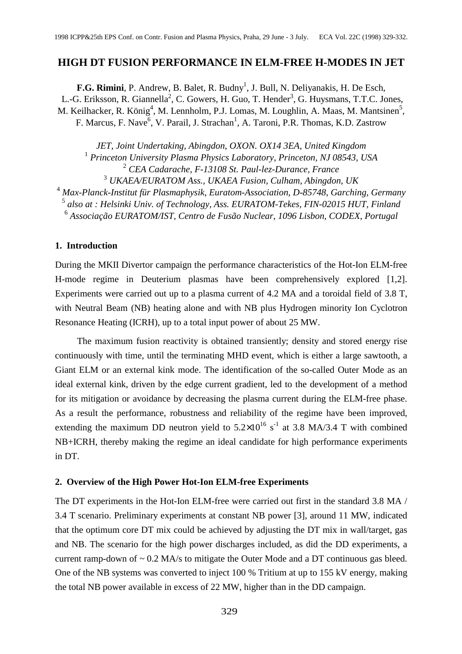# **HIGH DT FUSION PERFORMANCE IN ELM-FREE H-MODES IN JET**

F.G. Rimini, P. Andrew, B. Balet, R. Budny<sup>1</sup>, J. Bull, N. Deliyanakis, H. De Esch, L.-G. Eriksson, R. Giannella<sup>2</sup>, C. Gowers, H. Guo, T. Hender<sup>3</sup>, G. Huysmans, T.T.C. Jones, M. Keilhacker, R. König<sup>4</sup>, M. Lennholm, P.J. Lomas, M. Loughlin, A. Maas, M. Mantsinen<sup>5</sup>, F. Marcus, F. Nave<sup>6</sup>, V. Parail, J. Strachan<sup>1</sup>, A. Taroni, P.R. Thomas, K.D. Zastrow

*JET, Joint Undertaking, Abingdon, OXON. OX14 3EA, United Kingdom Princeton University Plasma Physics Laboratory, Princeton, NJ 08543, USA CEA Cadarache, F-13108 St. Paul-lez-Durance, France UKAEA/EURATOM Ass., UKAEA Fusion, Culham, Abingdon, UK Max-Planck-Institut für Plasmaphysik, Euratom-Association, D-85748, Garching, Germany also at : Helsinki Univ. of Technology, Ass. EURATOM-Tekes, FIN-02015 HUT, Finland*

<sup>6</sup> Associação EURATOM/IST, Centro de Fusão Nuclear, 1096 Lisbon, CODEX, Portugal

## **1. Introduction**

During the MKII Divertor campaign the performance characteristics of the Hot-Ion ELM-free H-mode regime in Deuterium plasmas have been comprehensively explored [1,2]. Experiments were carried out up to a plasma current of 4.2 MA and a toroidal field of 3.8 T, with Neutral Beam (NB) heating alone and with NB plus Hydrogen minority Ion Cyclotron Resonance Heating (ICRH), up to a total input power of about 25 MW.

The maximum fusion reactivity is obtained transiently; density and stored energy rise continuously with time, until the terminating MHD event, which is either a large sawtooth, a Giant ELM or an external kink mode. The identification of the so-called Outer Mode as an ideal external kink, driven by the edge current gradient, led to the development of a method for its mitigation or avoidance by decreasing the plasma current during the ELM-free phase. As a result the performance, robustness and reliability of the regime have been improved, extending the maximum DD neutron yield to  $5.2 \times 10^{16}$  s<sup>-1</sup> at 3.8 MA/3.4 T with combined NB+ICRH, thereby making the regime an ideal candidate for high performance experiments in DT. **HIGH DT FUSION PERFORMANCE IN ELM-FREE H-MODES IN JET EC.** Kimiai P. Andrew, B. Balet, R. Budge, J. Juli, N. Deligyanskin, I. De Exch.<br>L-G. Etimisson, R. Giannella', C. Gowen, H. Guo, T. Hender', G. Huyamas, T.T.C. Jones

#### **2. Overview of the High Power Hot-Ion ELM-free Experiments**

The DT experiments in the Hot-Ion ELM-free were carried out first in the standard 3.8 MA / 3.4 T scenario. Preliminary experiments at constant NB power [3], around 11 MW, indicated that the optimum core DT mix could be achieved by adjusting the DT mix in wall/target, gas and NB. The scenario for the high power discharges included, as did the DD experiments, a current ramp-down of  $\sim 0.2$  MA/s to mitigate the Outer Mode and a DT continuous gas bleed. One of the NB systems was converted to inject 100 % Tritium at up to 155 kV energy, making the total NB power available in excess of 22 MW, higher than in the DD campaign.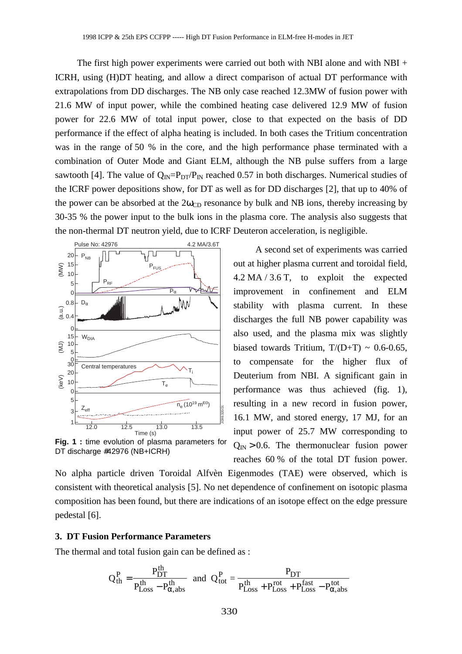The first high power experiments were carried out both with NBI alone and with NBI + ICRH, using (H)DT heating, and allow a direct comparison of actual DT performance with extrapolations from DD discharges. The NB only case reached 12.3MW of fusion power with 21.6 MW of input power, while the combined heating case delivered 12.9 MW of fusion power for 22.6 MW of total input power, close to that expected on the basis of DD performance if the effect of alpha heating is included. In both cases the Tritium concentration was in the range of 50 % in the core, and the high performance phase terminated with a combination of Outer Mode and Giant ELM, although the NB pulse suffers from a large sawtooth [4]. The value of  $Q_{IN} = P_{DT}/P_{IN}$  reached 0.57 in both discharges. Numerical studies of the ICRF power depositions show, for DT as well as for DD discharges [2], that up to 40% of the power can be absorbed at the  $2\omega_{CD}$  resonance by bulk and NB ions, thereby increasing by 30-35 % the power input to the bulk ions in the plasma core. The analysis also suggests that the non-thermal DT neutron yield, due to ICRF Deuteron acceleration, is negligible. The first high power experiments were carried out both with NBI alone a<br>
TCRII, using (IDDT heating, and allow a direct comparison of actual DT per<br>
EVRIP oliver in the entropy while the combined heating case delivered 12



**Fig. 1 :** time evolution of plasma parameters for DT discharge #42976 (NB+ICRH)

A second set of experiments was carried out at higher plasma current and toroidal field, 4.2 MA / 3.6 T, to exploit the expected improvement in confinement and ELM stability with plasma current. In these discharges the full NB power capability was also used, and the plasma mix was slightly biased towards Tritium,  $T/(D+T) \sim 0.6$ -0.65, to compensate for the higher flux of Deuterium from NBI. A significant gain in performance was thus achieved (fig. 1), resulting in a new record in fusion power, 16.1 MW, and stored energy, 17 MJ, for an input power of 25.7 MW corresponding to  $Q_{\text{IN}} > 0.6$ . The thermonuclear fusion power reaches 60 % of the total DT fusion power.

No alpha particle driven Toroidal Alfvèn Eigenmodes (TAE) were observed, which is consistent with theoretical analysis [5]. No net dependence of confinement on isotopic plasma composition has been found, but there are indications of an isotope effect on the edge pressure pedestal [6].

### **3. DT Fusion Performance Parameters**

The thermal and total fusion gain can be defined as :

$$
Q_{th}^{P} = \frac{P_{DT}^{th}}{P_{Loss}^{th} - P_{\alpha, abs}^{th}}
$$
 and  $Q_{tot}^{P} = \frac{P_{DT}}{P_{Loss}^{th} + P_{Loss}^{rot} + P_{Loss}^{fast} - P_{\alpha, abs}^{tot}}$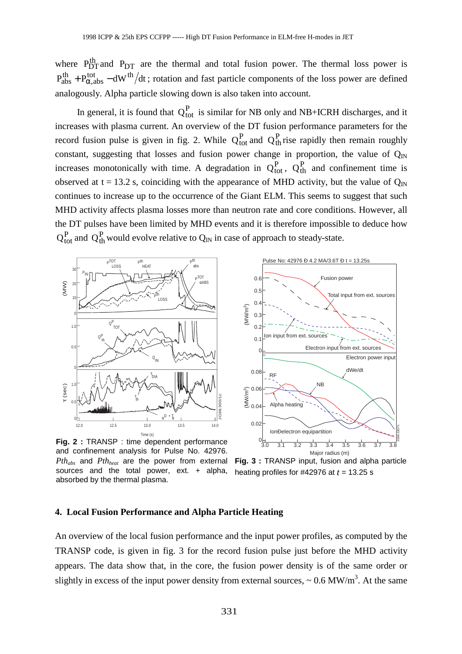where  $P_{DT}^{th}$  and  $P_{DT}$  are the thermal and total fusion power. The thermal loss power is  $P_{\rm abs}^{\rm th} + P_{\alpha, \rm abs}^{\rm tot} - dW^{\rm th}/dt$ +  $P_{\alpha, abs}^{tot}$  – dW<sup>th</sup>/dt; rotation and fast particle components of the loss power are defined analogously. Alpha particle slowing down is also taken into account.

In general, it is found that  $Q_{\text{tot}}^{\text{P}}$  is similar for NB only and NB+ICRH discharges, and it increases with plasma current. An overview of the DT fusion performance parameters for the record fusion pulse is given in fig. 2. While  $Q_{\text{tot}}^P$  and  $Q_{\text{th}}^P$  rise rapidly then remain roughly constant, suggesting that losses and fusion power change in proportion, the value of  $Q_{\text{IN}}$ increases monotonically with time. A degradation in  $Q_{\text{tot}}^{\text{P}}$ ,  $Q_{\text{th}}^{\text{P}}$  and confinement time is observed at  $t = 13.2$  s, coinciding with the appearance of MHD activity, but the value of  $Q_{\text{IN}}$ continues to increase up to the occurrence of the Giant ELM. This seems to suggest that such MHD activity affects plasma losses more than neutron rate and core conditions. However, all the DT pulses have been limited by MHD events and it is therefore impossible to deduce how  $Q_{\text{tot}}^{\text{P}}$  and  $Q_{\text{th}}^{\text{P}}$  would evolve relative to  $Q_{\text{IN}}$  in case of approach to steady-state. where  $10^{32}_{P}$  and  $10^{32}_{P}$  are the thermal and total fusion power. The thermal  $P_{20}^{38}$   $+P_{20}^{37}$  and  $-3P_{20}^{38}$  and  $-3P_{20}^{38}$  and  $-3P_{20}^{38}$  and  $-3P_{20}^{38}$  and  $-3P_{20}^{38}$  and  $-3P_{20}^{38}$  free



**Fig. 2 :** TRANSP : time dependent performance and confinement analysis for Pulse No. 42976. *Pthabs* and *Pthheat* are the power from external sources and the total power, ext. + alpha, absorbed by the thermal plasma.



**Fig. 3 :** TRANSP input, fusion and alpha particle heating profiles for  $\#42976$  at  $t = 13.25$  s

#### **4. Local Fusion Performance and Alpha Particle Heating**

An overview of the local fusion performance and the input power profiles, as computed by the TRANSP code, is given in fig. 3 for the record fusion pulse just before the MHD activity appears. The data show that, in the core, the fusion power density is of the same order or slightly in excess of the input power density from external sources,  $\sim 0.6 \text{ MW/m}^3$ . At the same